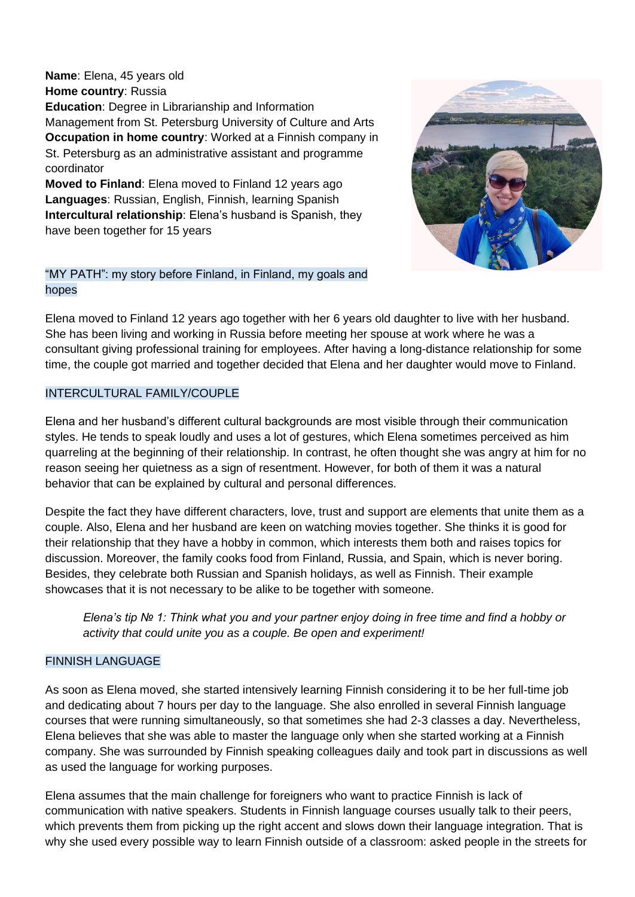**Name**: Elena, 45 years old **Home country**: Russia **Education**: Degree in Librarianship and Information Management from St. Petersburg University of Culture and Arts **Occupation in home country:** Worked at a Finnish company in St. Petersburg as an administrative assistant and programme coordinator

**Moved to Finland**: Elena moved to Finland 12 years ago **Languages**: Russian, English, Finnish, learning Spanish **Intercultural relationship**: Elena's husband is Spanish, they have been together for 15 years



### "MY PATH": my story before Finland, in Finland, my goals and hopes

Elena moved to Finland 12 years ago together with her 6 years old daughter to live with her husband. She has been living and working in Russia before meeting her spouse at work where he was a consultant giving professional training for employees. After having a long-distance relationship for some time, the couple got married and together decided that Elena and her daughter would move to Finland.

## INTERCULTURAL FAMILY/COUPLE

Elena and her husband's different cultural backgrounds are most visible through their communication styles. He tends to speak loudly and uses a lot of gestures, which Elena sometimes perceived as him quarreling at the beginning of their relationship. In contrast, he often thought she was angry at him for no reason seeing her quietness as a sign of resentment. However, for both of them it was a natural behavior that can be explained by cultural and personal differences.

Despite the fact they have different characters, love, trust and support are elements that unite them as a couple. Also, Elena and her husband are keen on watching movies together. She thinks it is good for their relationship that they have a hobby in common, which interests them both and raises topics for discussion. Moreover, the family cooks food from Finland, Russia, and Spain, which is never boring. Besides, they celebrate both Russian and Spanish holidays, as well as Finnish. Their example showcases that it is not necessary to be alike to be together with someone.

*Elena's tip № 1: Think what you and your partner enjoy doing in free time and find a hobby or activity that could unite you as a couple. Be open and experiment!* 

# FINNISH LANGUAGE

As soon as Elena moved, she started intensively learning Finnish considering it to be her full-time job and dedicating about 7 hours per day to the language. She also enrolled in several Finnish language courses that were running simultaneously, so that sometimes she had 2-3 classes a day. Nevertheless, Elena believes that she was able to master the language only when she started working at a Finnish company. She was surrounded by Finnish speaking colleagues daily and took part in discussions as well as used the language for working purposes.

Elena assumes that the main challenge for foreigners who want to practice Finnish is lack of communication with native speakers. Students in Finnish language courses usually talk to their peers, which prevents them from picking up the right accent and slows down their language integration. That is why she used every possible way to learn Finnish outside of a classroom: asked people in the streets for